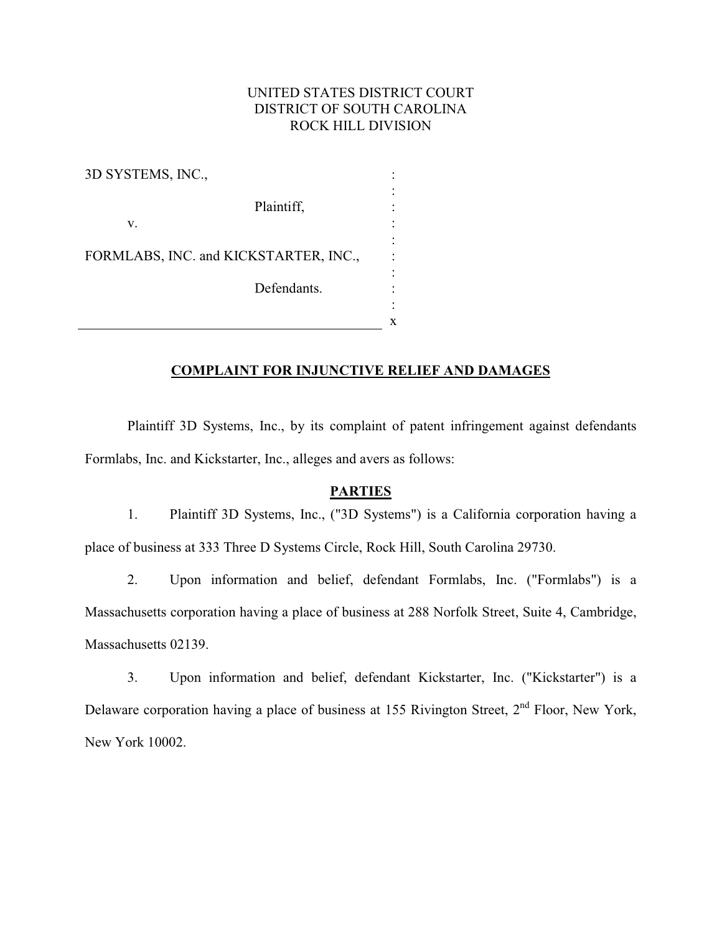### UNITED STATES DISTRICT COURT DISTRICT OF SOUTH CAROLINA ROCK HILL DIVISION

| 3D SYSTEMS, INC.,                     |  |
|---------------------------------------|--|
| Plaintiff,<br>V.                      |  |
| FORMLABS, INC. and KICKSTARTER, INC., |  |
| Defendants.                           |  |
|                                       |  |

#### **COMPLAINT FOR INJUNCTIVE RELIEF AND DAMAGES**

Plaintiff 3D Systems, Inc., by its complaint of patent infringement against defendants Formlabs, Inc. and Kickstarter, Inc., alleges and avers as follows:

# **PARTIES & PARTIES**

1. Plaintiff 3D Systems, Inc., ("3D Systems") is a California corporation having a place of business at 333 Three D Systems Circle, Rock Hill, South Carolina 29730.

2. Upon information and belief, defendant Formlabs, Inc. ("Formlabs") is a Massachusetts corporation having a place of business at 288 Norfolk Street, Suite 4, Cambridge, Massachusetts 02139.

3. Upon information and belief, defendant Kickstarter, Inc. ("Kickstarter") is a Delaware corporation having a place of business at 155 Rivington Street, 2<sup>nd</sup> Floor, New York, New York 10002.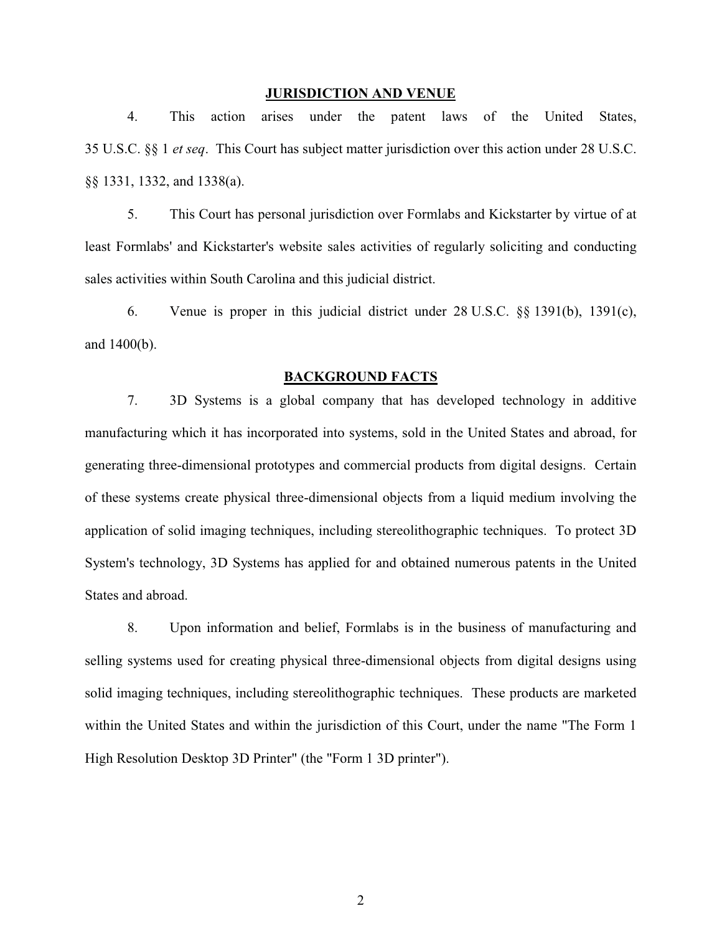## **JURISDICTION AND VENUE AND VENUE AND VENUE AND VENUE AND VENUE AND VENUE AND VENUE AND VENUE AND VENUE AND VE**

4. This action arises under the patent laws of the United States, 35 U.S.C. §§ 1 *et seq*. This Court has subject matter jurisdiction over this action under 28 U.S.C. §§ 1331, 1332, and 1338(a).

5. This Court has personal jurisdiction over Formlabs and Kickstarter by virtue of at least Formlabs' and Kickstarter's website sales activities of regularly soliciting and conducting sales activities within South Carolina and this judicial district.

6. Venue is proper in this judicial district under 28 U.S.C. §§ 1391(b), 1391(c), and 1400(b).

### **BACKGROUND FACTS**

7. 3D Systems is a global company that has developed technology in additive manufacturing which it has incorporated into systems, sold in the United States and abroad, for generating three-dimensional prototypes and commercial products from digital designs. Certain of these systems create physical three-dimensional objects from a liquid medium involving the application of solid imaging techniques, including stereolithographic techniques. To protect 3D System's technology, 3D Systems has applied for and obtained numerous patents in the United States and abroad.

8. Upon information and belief, Formlabs is in the business of manufacturing and selling systems used for creating physical three-dimensional objects from digital designs using solid imaging techniques, including stereolithographic techniques. These products are marketed within the United States and within the jurisdiction of this Court, under the name "The Form 1 High Resolution Desktop 3D Printer" (the "Form 1 3D printer").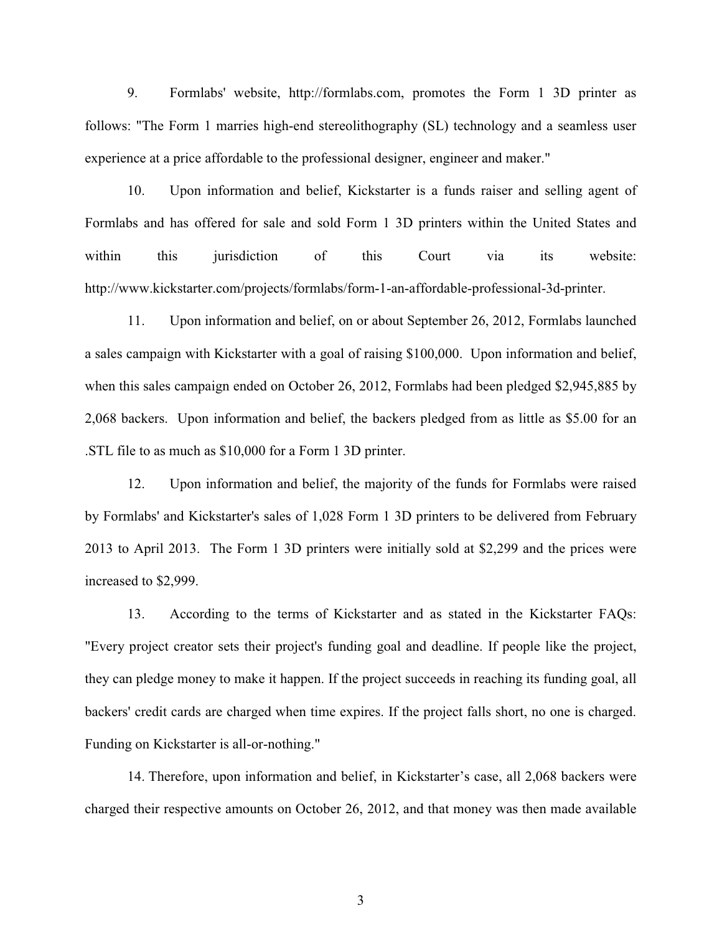9. Formlabs' website, http://formlabs.com, promotes the Form 1 3D printer as follows: "The Form 1 marries high-end stereolithography (SL) technology and a seamless user experience at a price affordable to the professional designer, engineer and maker."

10. Upon information and belief, Kickstarter is a funds raiser and selling agent of Formlabs and has offered for sale and sold Form 1 3D printers within the United States and within this jurisdiction of this Court via its website: http://www.kickstarter.com/projects/formlabs/form-1-an-affordable-professional-3d-printer.

11. Upon information and belief, on or about September 26, 2012, Formlabs launched a sales campaign with Kickstarter with a goal of raising \$100,000. Upon information and belief, when this sales campaign ended on October 26, 2012, Formlabs had been pledged \$2,945,885 by 2,068 backers. Upon information and belief, the backers pledged from as little as \$5.00 for an .STL file to as much as \$10,000 for a Form 1 3D printer.

12. Upon information and belief, the majority of the funds for Formlabs were raised by Formlabs' and Kickstarter's sales of 1,028 Form 1 3D printers to be delivered from February 2013 to April 2013. The Form 1 3D printers were initially sold at \$2,299 and the prices were increased to \$2,999.

13. According to the terms of Kickstarter and as stated in the Kickstarter FAQs: "Every project creator sets their project's funding goal and deadline. If people like the project, they can pledge money to make it happen. If the project succeeds in reaching its funding goal, all backers' credit cards are charged when time expires. If the project falls short, no one is charged. Funding on Kickstarter is all-or-nothing."

14. Therefore, upon information and belief, in Kickstarter's case, all 2,068 backers were charged their respective amounts on October 26, 2012, and that money was then made available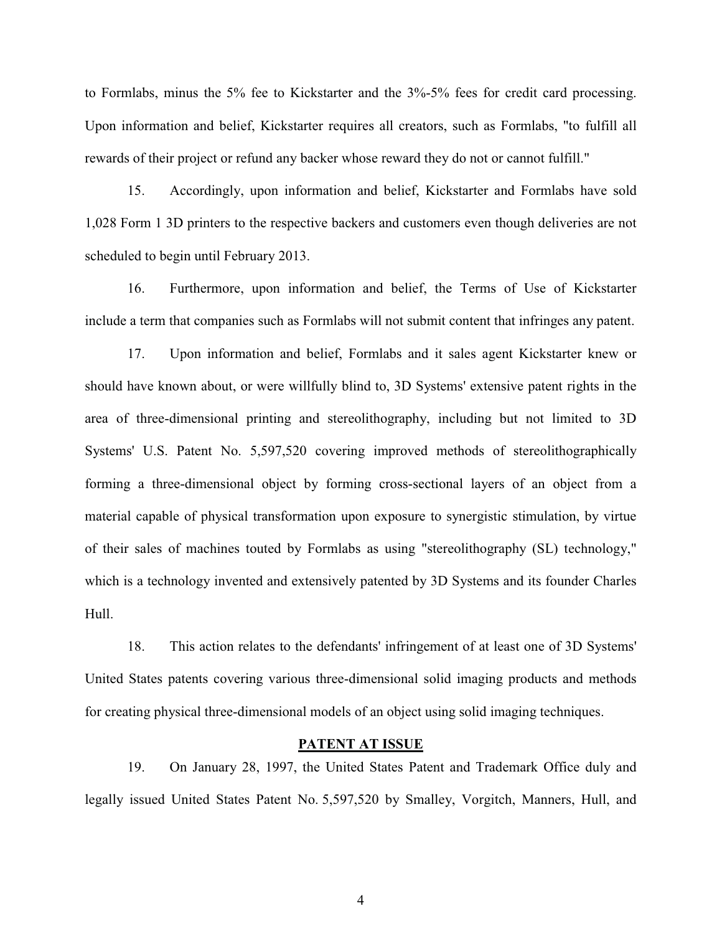to Formlabs, minus the 5% fee to Kickstarter and the 3%-5% fees for credit card processing. Upon information and belief, Kickstarter requires all creators, such as Formlabs, "to fulfill all rewards of their project or refund any backer whose reward they do not or cannot fulfill."

15. Accordingly, upon information and belief, Kickstarter and Formlabs have sold 1,028 Form 1 3D printers to the respective backers and customers even though deliveries are not scheduled to begin until February 2013.

16. Furthermore, upon information and belief, the Terms of Use of Kickstarter include a term that companies such as Formlabs will not submit content that infringes any patent.

17. Upon information and belief, Formlabs and it sales agent Kickstarter knew or should have known about, or were willfully blind to, 3D Systems' extensive patent rights in the area of three-dimensional printing and stereolithography, including but not limited to 3D Systems' U.S. Patent No. 5,597,520 covering improved methods of stereolithographically forming a three-dimensional object by forming cross-sectional layers of an object from a material capable of physical transformation upon exposure to synergistic stimulation, by virtue of their sales of machines touted by Formlabs as using "stereolithography (SL) technology," which is a technology invented and extensively patented by 3D Systems and its founder Charles Hull.

18. This action relates to the defendants' infringement of at least one of 3D Systems' United States patents covering various three-dimensional solid imaging products and methods for creating physical three-dimensional models of an object using solid imaging techniques.

## **PATENT AT ISSUE AT ISSUE AT ISSUE AT ISSUE AT ISSUE AT ISSUE AT ISSUE AT ISSUE AT ISSUE AT ISSUE AT ISSUE AT**

19. On January 28, 1997, the United States Patent and Trademark Office duly and legally issued United States Patent No. 5,597,520 by Smalley, Vorgitch, Manners, Hull, and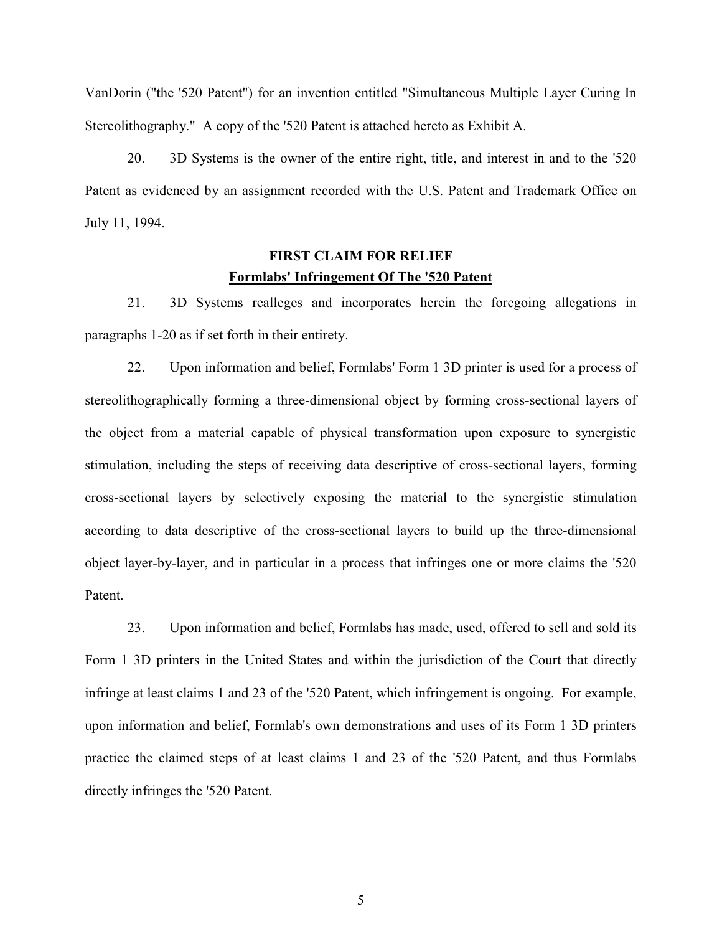VanDorin ("the '520 Patent") for an invention entitled "Simultaneous Multiple Layer Curing In Stereolithography." A copy of the '520 Patent is attached hereto as Exhibit A.

20. 3D Systems is the owner of the entire right, title, and interest in and to the '520 Patent as evidenced by an assignment recorded with the U.S. Patent and Trademark Office on July 11, 1994.

### **FIRST CLAIM FOR RELIEF FIRST CLAIM FOR RELIEF 1500 Formlabs' Infringement Of The '520 Patent**

21. 3D Systems realleges and incorporates herein the foregoing allegations in paragraphs 1-20 as if set forth in their entirety.

22. Upon information and belief, Formlabs' Form 1 3D printer is used for a process of stereolithographically forming a three-dimensional object by forming cross-sectional layers of the object from a material capable of physical transformation upon exposure to synergistic stimulation, including the steps of receiving data descriptive of cross-sectional layers, forming cross-sectional layers by selectively exposing the material to the synergistic stimulation according to data descriptive of the cross-sectional layers to build up the three-dimensional object layer-by-layer, and in particular in a process that infringes one or more claims the '520 Patent.

23. Upon information and belief, Formlabs has made, used, offered to sell and sold its Form 1 3D printers in the United States and within the jurisdiction of the Court that directly infringe at least claims 1 and 23 of the '520 Patent, which infringement is ongoing. For example, upon information and belief, Formlab's own demonstrations and uses of its Form 1 3D printers practice the claimed steps of at least claims 1 and 23 of the '520 Patent, and thus Formlabs directly infringes the '520 Patent.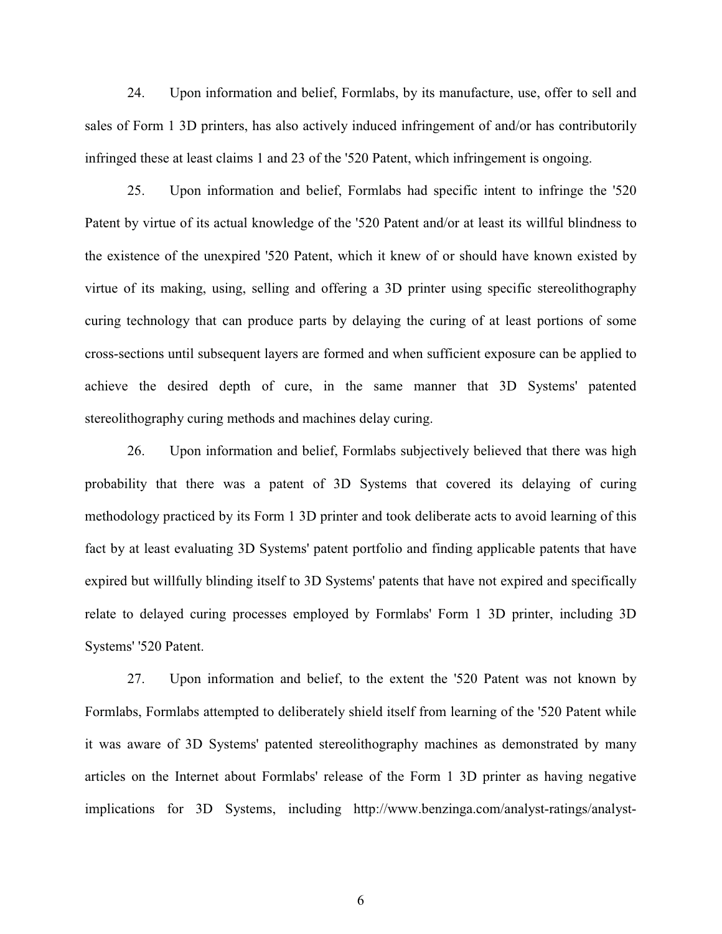24. Upon information and belief, Formlabs, by its manufacture, use, offer to sell and sales of Form 1 3D printers, has also actively induced infringement of and/or has contributorily infringed these at least claims 1 and 23 of the '520 Patent, which infringement is ongoing.

25. Upon information and belief, Formlabs had specific intent to infringe the '520 Patent by virtue of its actual knowledge of the '520 Patent and/or at least its willful blindness to the existence of the unexpired '520 Patent, which it knew of or should have known existed by virtue of its making, using, selling and offering a 3D printer using specific stereolithography curing technology that can produce parts by delaying the curing of at least portions of some cross-sections until subsequent layers are formed and when sufficient exposure can be applied to achieve the desired depth of cure, in the same manner that 3D Systems' patented stereolithography curing methods and machines delay curing.

26. Upon information and belief, Formlabs subjectively believed that there was high probability that there was a patent of 3D Systems that covered its delaying of curing methodology practiced by its Form 1 3D printer and took deliberate acts to avoid learning of this fact by at least evaluating 3D Systems' patent portfolio and finding applicable patents that have expired but willfully blinding itself to 3D Systems' patents that have not expired and specifically relate to delayed curing processes employed by Formlabs' Form 1 3D printer, including 3D Systems' '520 Patent.

27. Upon information and belief, to the extent the '520 Patent was not known by Formlabs, Formlabs attempted to deliberately shield itself from learning of the '520 Patent while it was aware of 3D Systems' patented stereolithography machines as demonstrated by many articles on the Internet about Formlabs' release of the Form 1 3D printer as having negative implications for 3D Systems, including http://www.benzinga.com/analyst-ratings/analyst-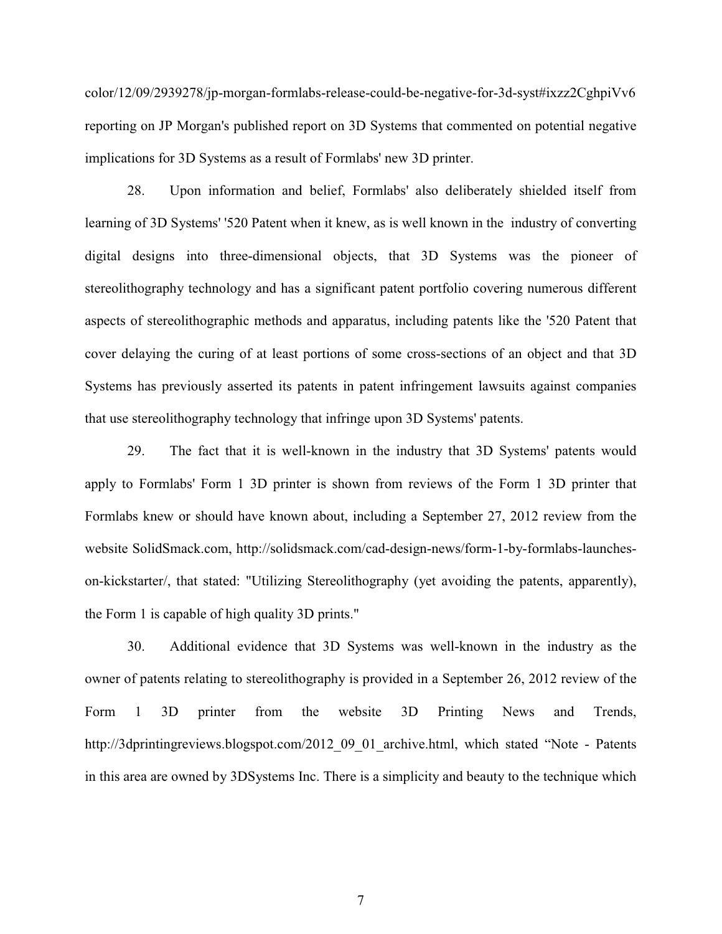color/12/09/2939278/jp-morgan-formlabs-release-could-be-negative-for-3d-syst#ixzz2CghpiVv6 reporting on JP Morgan's published report on 3D Systems that commented on potential negative implications for 3D Systems as a result of Formlabs' new 3D printer.

28. Upon information and belief, Formlabs' also deliberately shielded itself from learning of 3D Systems' '520 Patent when it knew, as is well known in the industry of converting digital designs into three-dimensional objects, that 3D Systems was the pioneer of stereolithography technology and has a significant patent portfolio covering numerous different aspects of stereolithographic methods and apparatus, including patents like the '520 Patent that cover delaying the curing of at least portions of some cross-sections of an object and that 3D Systems has previously asserted its patents in patent infringement lawsuits against companies that use stereolithography technology that infringe upon 3D Systems' patents.

29. The fact that it is well-known in the industry that 3D Systems' patents would apply to Formlabs' Form 1 3D printer is shown from reviews of the Form 1 3D printer that Formlabs knew or should have known about, including a September 27, 2012 review from the website SolidSmack.com, http://solidsmack.com/cad-design-news/form-1-by-formlabs-launcheson-kickstarter/, that stated: "Utilizing Stereolithography (yet avoiding the patents, apparently), the Form 1 is capable of high quality 3D prints."

30. Additional evidence that 3D Systems was well-known in the industry as the owner of patents relating to stereolithography is provided in a September 26, 2012 review of the Form 1 3D printer from the website 3D Printing News and Trends, http://3dprintingreviews.blogspot.com/2012\_09\_01\_archive.html, which stated "Note - Patents in this area are owned by 3DSystems Inc. There is a simplicity and beauty to the technique which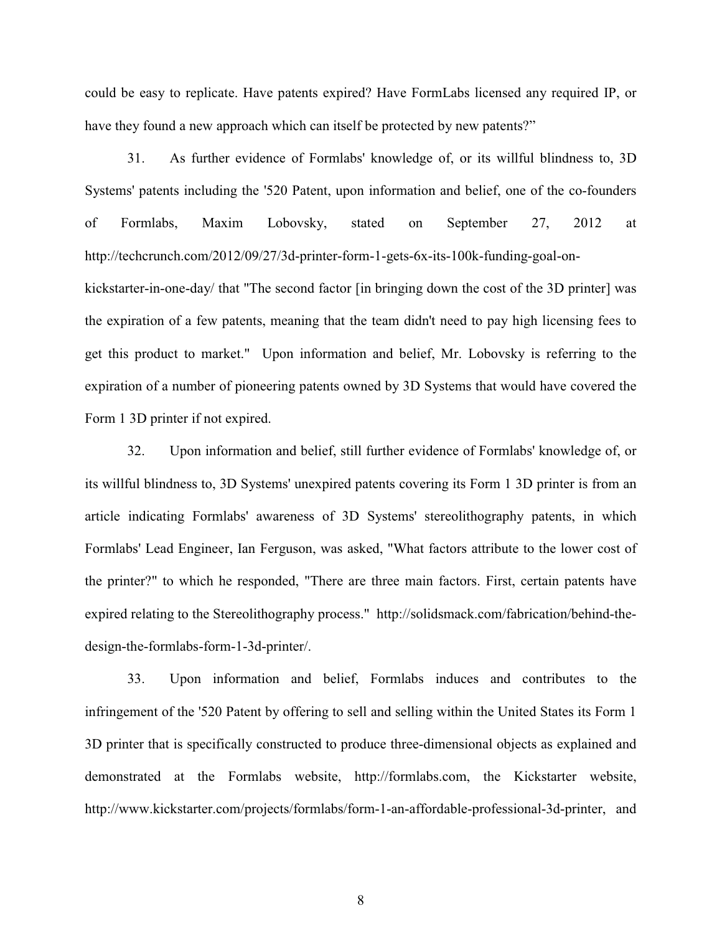could be easy to replicate. Have patents expired? Have FormLabs licensed any required IP, or have they found a new approach which can itself be protected by new patents?"

31. As further evidence of Formlabs' knowledge of, or its willful blindness to, 3D Systems' patents including the '520 Patent, upon information and belief, one of the co-founders of Formlabs, Maxim Lobovsky, stated on September 27, 2012 at http://techcrunch.com/2012/09/27/3d-printer-form-1-gets-6x-its-100k-funding-goal-onkickstarter-in-one-day/ that "The second factor [in bringing down the cost of the 3D printer] was the expiration of a few patents, meaning that the team didn't need to pay high licensing fees to get this product to market." Upon information and belief, Mr. Lobovsky is referring to the expiration of a number of pioneering patents owned by 3D Systems that would have covered the Form 1 3D printer if not expired.

32. Upon information and belief, still further evidence of Formlabs' knowledge of, or its willful blindness to, 3D Systems' unexpired patents covering its Form 1 3D printer is from an article indicating Formlabs' awareness of 3D Systems' stereolithography patents, in which Formlabs' Lead Engineer, Ian Ferguson, was asked, "What factors attribute to the lower cost of the printer?" to which he responded, "There are three main factors. First, certain patents have expired relating to the Stereolithography process." http://solidsmack.com/fabrication/behind-thedesign-the-formlabs-form-1-3d-printer/.

33. Upon information and belief, Formlabs induces and contributes to the infringement of the '520 Patent by offering to sell and selling within the United States its Form 1 3D printer that is specifically constructed to produce three-dimensional objects as explained and demonstrated at the Formlabs website, http://formlabs.com, the Kickstarter website, http://www.kickstarter.com/projects/formlabs/form-1-an-affordable-professional-3d-printer, and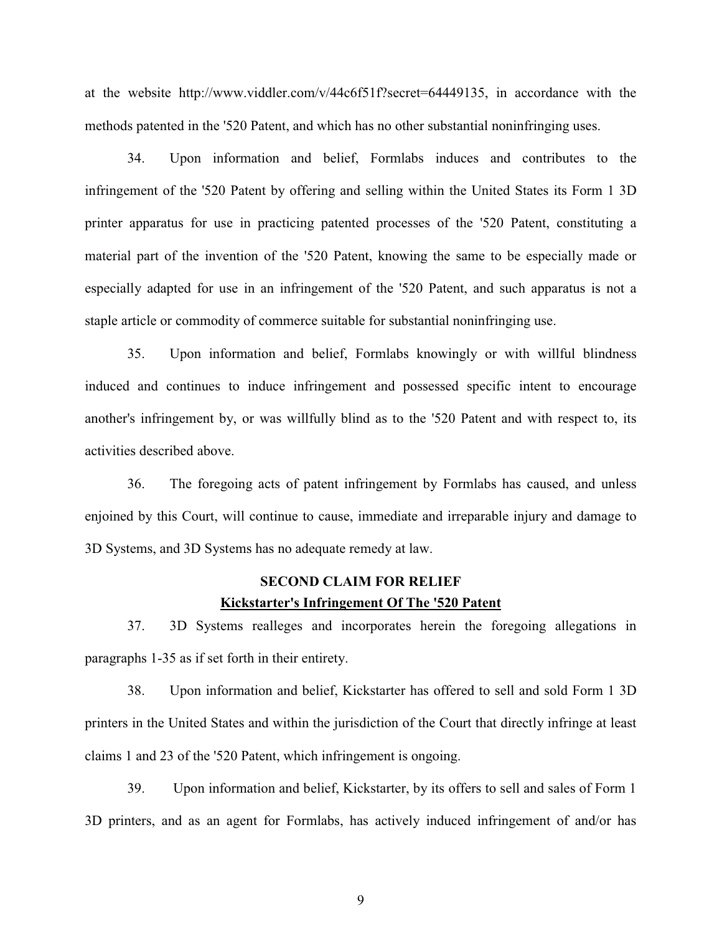at the website http://www.viddler.com/v/44c6f51f?secret=64449135, in accordance with the methods patented in the '520 Patent, and which has no other substantial noninfringing uses.

34. Upon information and belief, Formlabs induces and contributes to the infringement of the '520 Patent by offering and selling within the United States its Form 1 3D printer apparatus for use in practicing patented processes of the '520 Patent, constituting a material part of the invention of the '520 Patent, knowing the same to be especially made or especially adapted for use in an infringement of the '520 Patent, and such apparatus is not a staple article or commodity of commerce suitable for substantial noninfringing use.

35. Upon information and belief, Formlabs knowingly or with willful blindness induced and continues to induce infringement and possessed specific intent to encourage another's infringement by, or was willfully blind as to the '520 Patent and with respect to, its activities described above.

36. The foregoing acts of patent infringement by Formlabs has caused, and unless enjoined by this Court, will continue to cause, immediate and irreparable injury and damage to 3D Systems, and 3D Systems has no adequate remedy at law.

### **SECOND CLAIM FOR RELIEF Kickstarter's Infringement Of The '520 Patent**

37. 3D Systems realleges and incorporates herein the foregoing allegations in paragraphs 1-35 as if set forth in their entirety.

38. Upon information and belief, Kickstarter has offered to sell and sold Form 1 3D printers in the United States and within the jurisdiction of the Court that directly infringe at least claims 1 and 23 of the '520 Patent, which infringement is ongoing.

39. Upon information and belief, Kickstarter, by its offers to sell and sales of Form 1 3D printers, and as an agent for Formlabs, has actively induced infringement of and/or has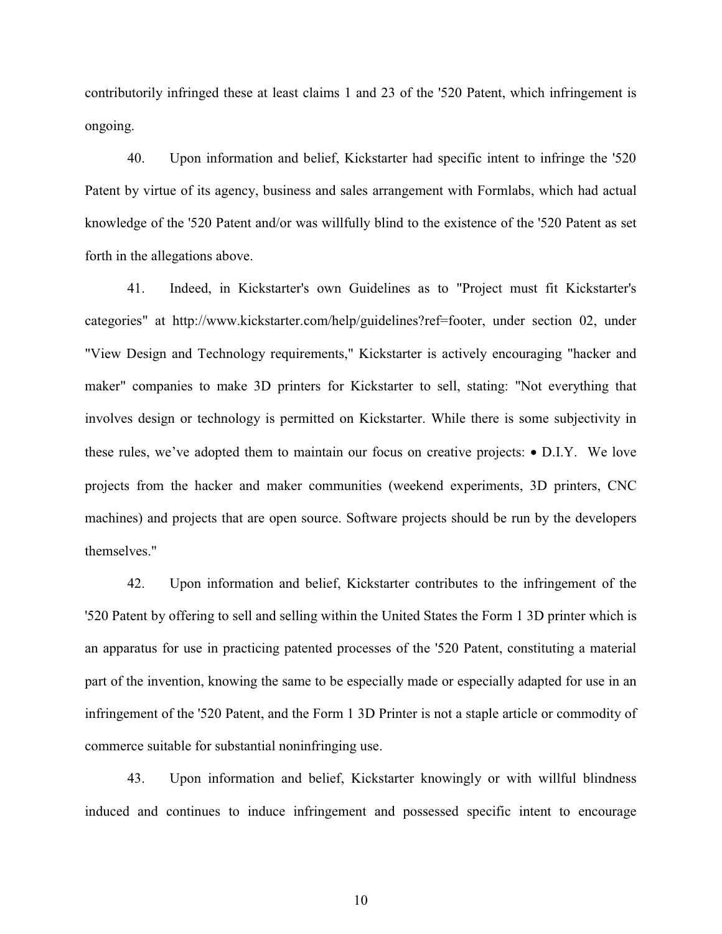contributorily infringed these at least claims 1 and 23 of the '520 Patent, which infringement is ongoing.

40. Upon information and belief, Kickstarter had specific intent to infringe the '520 Patent by virtue of its agency, business and sales arrangement with Formlabs, which had actual knowledge of the '520 Patent and/or was willfully blind to the existence of the '520 Patent as set forth in the allegations above.

41. Indeed, in Kickstarter's own Guidelines as to "Project must fit Kickstarter's categories" at http://www.kickstarter.com/help/guidelines?ref=footer, under section 02, under "View Design and Technology requirements," Kickstarter is actively encouraging "hacker and maker" companies to make 3D printers for Kickstarter to sell, stating: "Not everything that involves design or technology is permitted on Kickstarter. While there is some subjectivity in these rules, we've adopted them to maintain our focus on creative projects: • D.I.Y. We love projects from the hacker and maker communities (weekend experiments, 3D printers, CNC machines) and projects that are open source. Software projects should be run by the developers themselves."

42. Upon information and belief, Kickstarter contributes to the infringement of the '520 Patent by offering to sell and selling within the United States the Form 1 3D printer which is an apparatus for use in practicing patented processes of the '520 Patent, constituting a material part of the invention, knowing the same to be especially made or especially adapted for use in an infringement of the '520 Patent, and the Form 1 3D Printer is not a staple article or commodity of commerce suitable for substantial noninfringing use.

43. Upon information and belief, Kickstarter knowingly or with willful blindness induced and continues to induce infringement and possessed specific intent to encourage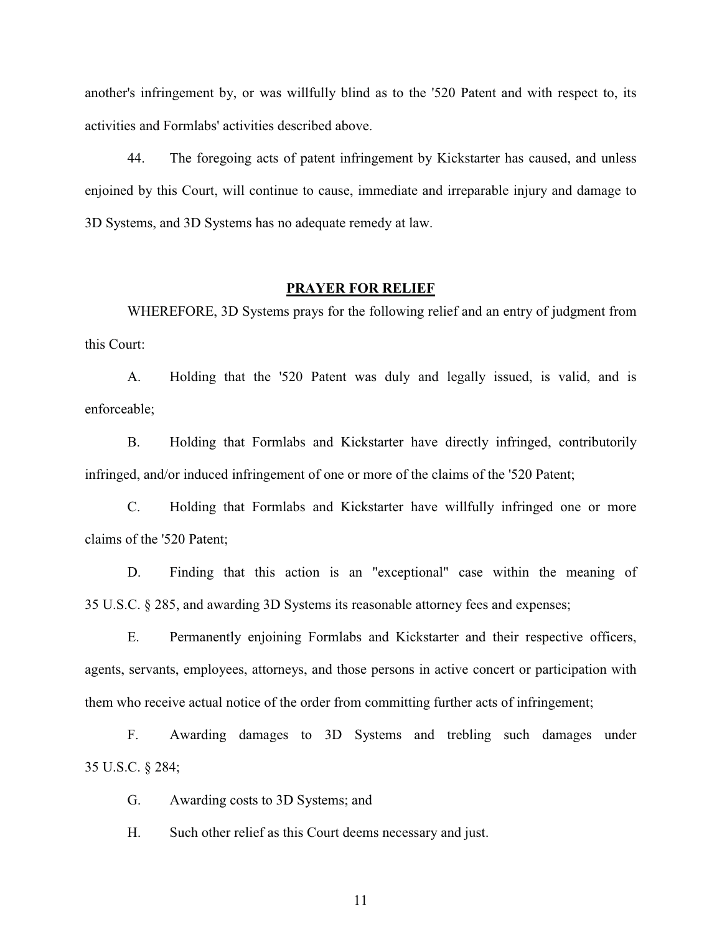another's infringement by, or was willfully blind as to the '520 Patent and with respect to, its activities and Formlabs' activities described above.

44. The foregoing acts of patent infringement by Kickstarter has caused, and unless enjoined by this Court, will continue to cause, immediate and irreparable injury and damage to 3D Systems, and 3D Systems has no adequate remedy at law.

## **PRAYER FOR RELIEF**

WHEREFORE, 3D Systems prays for the following relief and an entry of judgment from this Court:

A. Holding that the '520 Patent was duly and legally issued, is valid, and is enforceable;

B. Holding that Formlabs and Kickstarter have directly infringed, contributorily infringed, and/or induced infringement of one or more of the claims of the '520 Patent;

C. Holding that Formlabs and Kickstarter have willfully infringed one or more claims of the '520 Patent;

D. Finding that this action is an "exceptional" case within the meaning of 35 U.S.C. § 285, and awarding 3D Systems its reasonable attorney fees and expenses;

E. Permanently enjoining Formlabs and Kickstarter and their respective officers, agents, servants, employees, attorneys, and those persons in active concert or participation with them who receive actual notice of the order from committing further acts of infringement;

F. Awarding damages to 3D Systems and trebling such damages under 35 U.S.C. § 284;

G. Awarding costs to 3D Systems; and

H. Such other relief as this Court deems necessary and just.